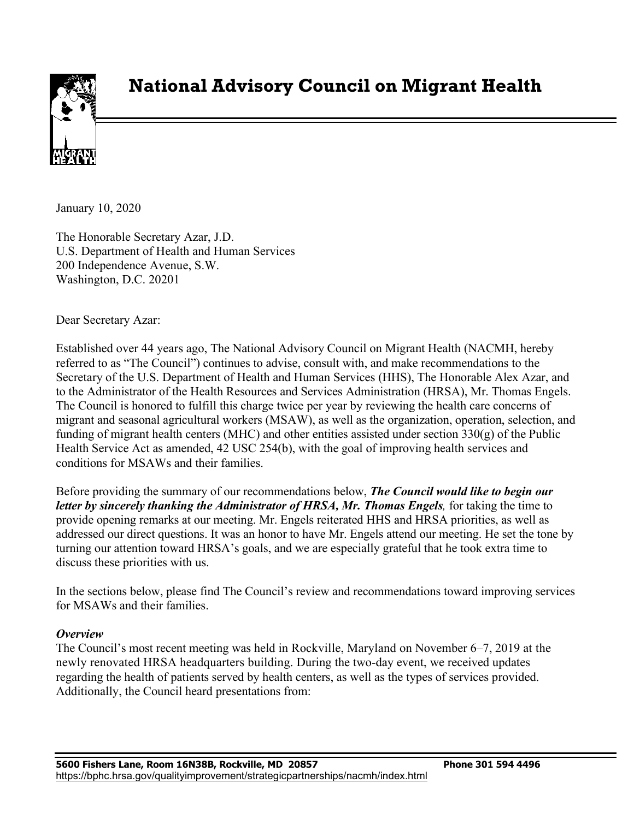

# **National Advisory Council on Migrant Health**

January 10, 2020

The Honorable Secretary Azar, J.D. U.S. Department of Health and Human Services 200 Independence Avenue, S.W. Washington, D.C. 20201

Dear Secretary Azar:

Established over 44 years ago, The National Advisory Council on Migrant Health (NACMH, hereby referred to as "The Council") continues to advise, consult with, and make recommendations to the Secretary of the U.S. Department of Health and Human Services (HHS), The Honorable Alex Azar, and to the Administrator of the Health Resources and Services Administration (HRSA), Mr. Thomas Engels. The Council is honored to fulfill this charge twice per year by reviewing the health care concerns of migrant and seasonal agricultural workers (MSAW), as well as the organization, operation, selection, and funding of migrant health centers (MHC) and other entities assisted under section 330(g) of the Public Health Service Act as amended, 42 USC 254(b), with the goal of improving health services and conditions for MSAWs and their families.

Before providing the summary of our recommendations below, *The Council would like to begin our letter by sincerely thanking the Administrator of HRSA, Mr. Thomas Engels,* for taking the time to provide opening remarks at our meeting. Mr. Engels reiterated HHS and HRSA priorities, as well as addressed our direct questions. It was an honor to have Mr. Engels attend our meeting. He set the tone by turning our attention toward HRSA's goals, and we are especially grateful that he took extra time to discuss these priorities with us.

In the sections below, please find The Council's review and recommendations toward improving services for MSAWs and their families.

#### *Overview*

The Council's most recent meeting was held in Rockville, Maryland on November 6–7, 2019 at the newly renovated HRSA headquarters building. During the two-day event, we received updates regarding the health of patients served by health centers, as well as the types of services provided. Additionally, the Council heard presentations from: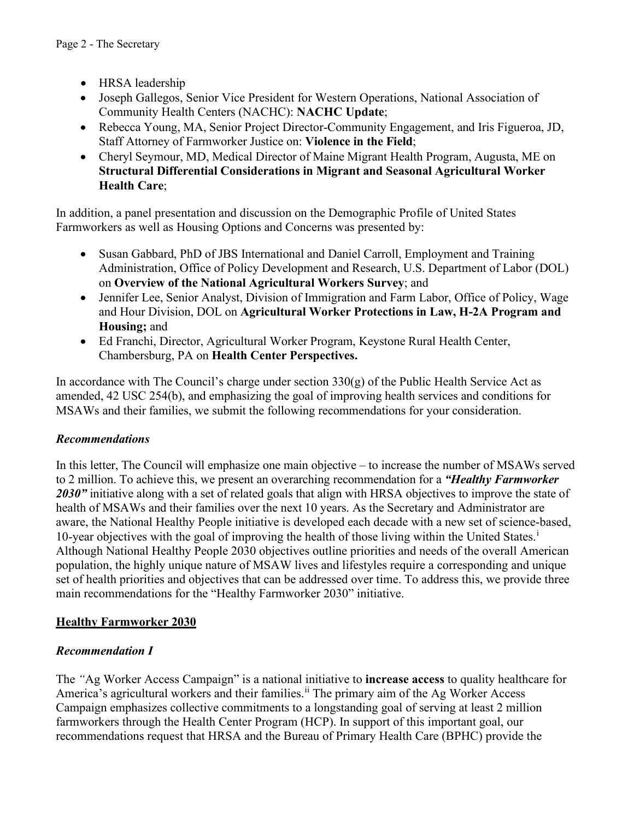- HRSA leadership
- Joseph Gallegos, Senior Vice President for Western Operations, National Association of Community Health Centers (NACHC): **NACHC Update**;
- Rebecca Young, MA, Senior Project Director-Community Engagement, and Iris Figueroa, JD, Staff Attorney of Farmworker Justice on: **Violence in the Field**;
- Cheryl Seymour, MD, Medical Director of Maine Migrant Health Program, Augusta, ME on **Structural Differential Considerations in Migrant and Seasonal Agricultural Worker Health Care**;

In addition, a panel presentation and discussion on the Demographic Profile of United States Farmworkers as well as Housing Options and Concerns was presented by:

- Susan Gabbard, PhD of JBS International and Daniel Carroll, Employment and Training Administration, Office of Policy Development and Research, U.S. Department of Labor (DOL) on **Overview of the National Agricultural Workers Survey**; and
- Jennifer Lee, Senior Analyst, Division of Immigration and Farm Labor, Office of Policy, Wage and Hour Division, DOL on **Agricultural Worker Protections in Law, H-2A Program and Housing;** and
- Ed Franchi, Director, Agricultural Worker Program, Keystone Rural Health Center, Chambersburg, PA on **Health Center Perspectives.**

In accordance with The Council's charge under section  $330(g)$  of the Public Health Service Act as amended, 42 USC 254(b), and emphasizing the goal of improving health services and conditions for MSAWs and their families, we submit the following recommendations for your consideration.

## *Recommendations*

In this letter, The Council will emphasize one main objective – to increase the number of MSAWs served to 2 million. To achieve this, we present an overarching recommendation for a *"Healthy Farmworker*  2030" initiative along with a set of related goals that align with HRSA objectives to improve the state of health of MSAWs and their families over the next 10 years. As the Secretary and Administrator are aware, the National Healthy People initiative is developed each decade with a new set of science-based, 10-year object[i](#page-9-0)ves with the goal of improving the health of those living within the United States.<sup>i</sup> Although National Healthy People 2030 objectives outline priorities and needs of the overall American population, the highly unique nature of MSAW lives and lifestyles require a corresponding and unique set of health priorities and objectives that can be addressed over time. To address this, we provide three main recommendations for the "Healthy Farmworker 2030" initiative.

## **Healthy Farmworker 2030**

## *Recommendation I*

The *"*Ag Worker Access Campaign" is a national initiative to **increase access** to quality healthcare for America's agricultural workers and their families.<sup>[ii](#page-9-1)</sup> The primary aim of the Ag Worker Access Campaign emphasizes collective commitments to a longstanding goal of serving at least 2 million farmworkers through the Health Center Program (HCP). In support of this important goal, our recommendations request that HRSA and the Bureau of Primary Health Care (BPHC) provide the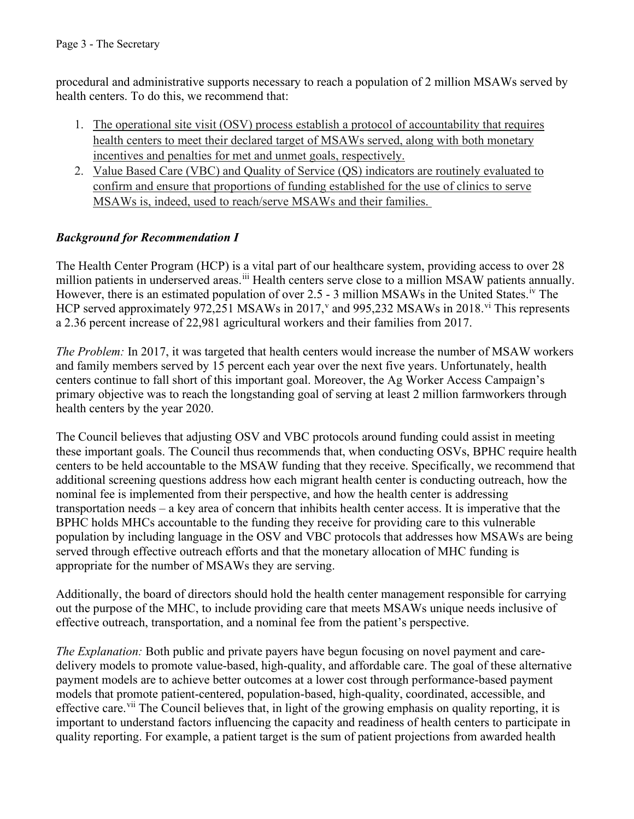procedural and administrative supports necessary to reach a population of 2 million MSAWs served by health centers. To do this, we recommend that:

- 1. The operational site visit (OSV) process establish a protocol of accountability that requires health centers to meet their declared target of MSAWs served, along with both monetary incentives and penalties for met and unmet goals, respectively.
- 2. Value Based Care (VBC) and Quality of Service (QS) indicators are routinely evaluated to confirm and ensure that proportions of funding established for the use of clinics to serve MSAWs is, indeed, used to reach/serve MSAWs and their families.

## *Background for Recommendation I*

The Health Center Program (HCP) is a vital part of our healthcare system, providing access to over 28 million patients in underserved areas.<sup>[iii](#page-9-2)</sup> Health centers serve close to a million MSAW patients annually. However, there is an estimated population of over 2.5 - 3 million MSAWs in the United States.<sup>iv</sup> The HCP ser[v](#page-9-4)ed approximately 972,251 MSAWs in 2017,<sup>v</sup> and 995,232 MSAWs in 2018.<sup>[vi](#page-9-5)</sup> This represents a 2.36 percent increase of 22,981 agricultural workers and their families from 2017.

*The Problem:* In 2017, it was targeted that health centers would increase the number of MSAW workers and family members served by 15 percent each year over the next five years. Unfortunately, health centers continue to fall short of this important goal. Moreover, the Ag Worker Access Campaign's primary objective was to reach the longstanding goal of serving at least 2 million farmworkers through health centers by the year 2020.

The Council believes that adjusting OSV and VBC protocols around funding could assist in meeting these important goals. The Council thus recommends that, when conducting OSVs, BPHC require health centers to be held accountable to the MSAW funding that they receive. Specifically, we recommend that additional screening questions address how each migrant health center is conducting outreach, how the nominal fee is implemented from their perspective, and how the health center is addressing transportation needs – a key area of concern that inhibits health center access. It is imperative that the BPHC holds MHCs accountable to the funding they receive for providing care to this vulnerable population by including language in the OSV and VBC protocols that addresses how MSAWs are being served through effective outreach efforts and that the monetary allocation of MHC funding is appropriate for the number of MSAWs they are serving.

Additionally, the board of directors should hold the health center management responsible for carrying out the purpose of the MHC, to include providing care that meets MSAWs unique needs inclusive of effective outreach, transportation, and a nominal fee from the patient's perspective.

*The Explanation:* Both public and private payers have begun focusing on novel payment and caredelivery models to promote value-based, high-quality, and affordable care. The goal of these alternative payment models are to achieve better outcomes at a lower cost through performance-based payment models that promote patient-centered, population-based, high-quality, coordinated, accessible, and effective care.<sup>[vii](#page-9-6)</sup> The Council believes that, in light of the growing emphasis on quality reporting, it is important to understand factors influencing the capacity and readiness of health centers to participate in quality reporting. For example, a patient target is the sum of patient projections from awarded health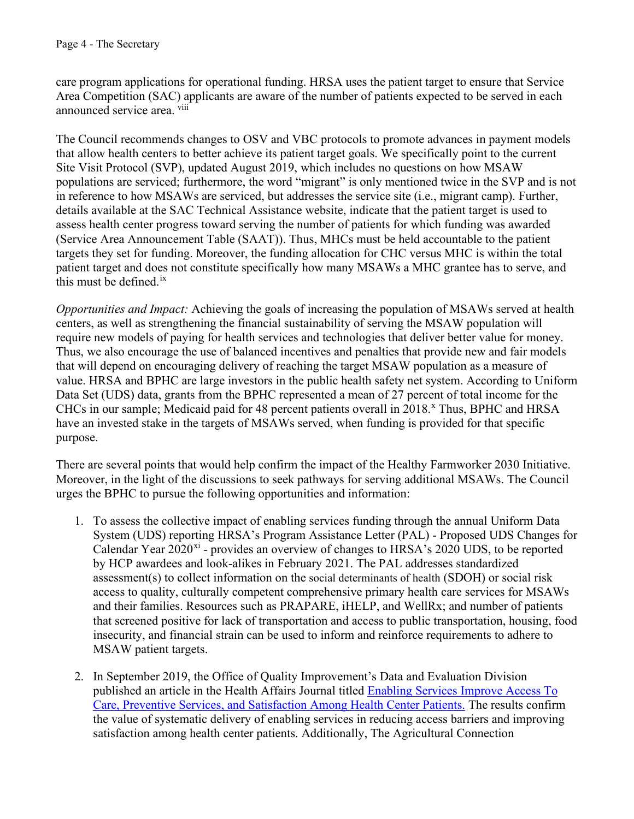care program applications for operational funding. HRSA uses the patient target to ensure that Service Area Competition (SAC) applicants are aware of the number of patients expected to be served in each announced service area. [viii](#page-9-7)

The Council recommends changes to OSV and VBC protocols to promote advances in payment models that allow health centers to better achieve its patient target goals. We specifically point to the current Site Visit Protocol (SVP), updated August 2019, which includes no questions on how MSAW populations are serviced; furthermore, the word "migrant" is only mentioned twice in the SVP and is not in reference to how MSAWs are serviced, but addresses the service site (i.e., migrant camp). Further, details available at the SAC Technical Assistance website, indicate that the patient target is used to assess health center progress toward serving the number of patients for which funding was awarded (Service Area Announcement Table (SAAT)). Thus, MHCs must be held accountable to the patient targets they set for funding. Moreover, the funding allocation for CHC versus MHC is within the total patient target and does not constitute specifically how many MSAWs a MHC grantee has to serve, and this must be defined. [ix](#page-9-8)

*Opportunities and Impact:* Achieving the goals of increasing the population of MSAWs served at health centers, as well as strengthening the financial sustainability of serving the MSAW population will require new models of paying for health services and technologies that deliver better value for money. Thus, we also encourage the use of balanced incentives and penalties that provide new and fair models that will depend on encouraging delivery of reaching the target MSAW population as a measure of value. HRSA and BPHC are large investors in the public health safety net system. According to Uniform Data Set (UDS) data, grants from the BPHC represented a mean of 27 percent of total income for the CHCs in our sample; Medicaid paid for 48 percent patients overall in 2018.<sup>[x](#page-9-9)</sup> Thus, BPHC and HRSA have an invested stake in the targets of MSAWs served, when funding is provided for that specific purpose.

There are several points that would help confirm the impact of the Healthy Farmworker 2030 Initiative. Moreover, in the light of the discussions to seek pathways for serving additional MSAWs. The Council urges the BPHC to pursue the following opportunities and information:

- 1. To assess the collective impact of enabling services funding through the annual Uniform Data System (UDS) reporting HRSA's Program Assistance Letter (PAL) - Proposed UDS Changes for Calendar Year  $2020^{xi}$  - provides an overview of changes to HRSA's  $2020$  UDS, to be reported by HCP awardees and look-alikes in February 2021. The PAL addresses standardized assessment(s) to collect information on the social determinants of health (SDOH) or social risk access to quality, culturally competent comprehensive primary health care services for MSAWs and their families. Resources such as PRAPARE, iHELP, and WellRx; and number of patients that screened positive for lack of transportation and access to public transportation, housing, food insecurity, and financial strain can be used to inform and reinforce requirements to adhere to MSAW patient targets.
- 2. In September 2019, the Office of Quality Improvement's Data and Evaluation Division published an article in the Health Affairs Journal titled Enabling Services Improve Access To [Care, Preventive Services, and Satisfaction Among Health Center Patients. The results confirm](https://www.healthaffairs.org/doi/full/10.1377/hlthaff.2018.05228)  the value of systematic delivery of enabling services in reducing access barriers and improving satisfaction among health center patients. Additionally, The Agricultural Connection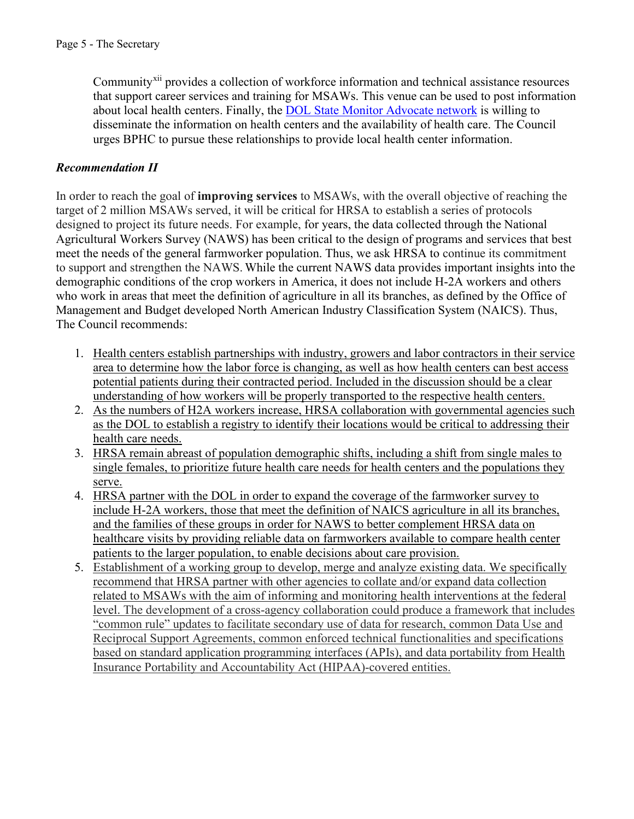Community[xii](#page-9-11) provides a collection of workforce information and technical assistance resources that support career services and training for MSAWs. This venue can be used to post information about local health centers. Finally, the [DOL State Monitor Advocate network](https://www.doleta.gov/mas/services/) is willing to disseminate the information on health centers and the availability of health care. The Council urges BPHC to pursue these relationships to provide local health center information.

#### *Recommendation II*

In order to reach the goal of **improving services** to MSAWs, with the overall objective of reaching the target of 2 million MSAWs served, it will be critical for HRSA to establish a series of protocols designed to project its future needs. For example, for years, the data collected through the National Agricultural Workers Survey (NAWS) has been critical to the design of programs and services that best meet the needs of the general farmworker population. Thus, we ask HRSA to continue its commitment to support and strengthen the NAWS. While the current NAWS data provides important insights into the demographic conditions of the crop workers in America, it does not include H-2A workers and others who work in areas that meet the definition of agriculture in all its branches, as defined by the Office of Management and Budget developed North American Industry Classification System (NAICS). Thus, The Council recommends:

- 1. Health centers establish partnerships with industry, growers and labor contractors in their service area to determine how the labor force is changing, as well as how health centers can best access potential patients during their contracted period. Included in the discussion should be a clear understanding of how workers will be properly transported to the respective health centers.
- 2. As the numbers of H2A workers increase, HRSA collaboration with governmental agencies such as the DOL to establish a registry to identify their locations would be critical to addressing their health care needs.
- 3. HRSA remain abreast of population demographic shifts, including a shift from single males to single females, to prioritize future health care needs for health centers and the populations they serve.
- 4. HRSA partner with the DOL in order to expand the coverage of the farmworker survey to include H-2A workers, those that meet the definition of NAICS agriculture in all its branches, and the families of these groups in order for NAWS to better complement HRSA data on healthcare visits by providing reliable data on farmworkers available to compare health center patients to the larger population, to enable decisions about care provision.
- 5. Establishment of a working group to develop, merge and analyze existing data. We specifically recommend that HRSA partner with other agencies to collate and/or expand data collection related to MSAWs with the aim of informing and monitoring health interventions at the federal level. The development of a cross-agency collaboration could produce a framework that includes "common rule" updates to facilitate secondary use of data for research, common Data Use and Reciprocal Support Agreements, common enforced technical functionalities and specifications based on standard application programming interfaces (APIs), and data portability from Health Insurance Portability and Accountability Act (HIPAA)-covered entities.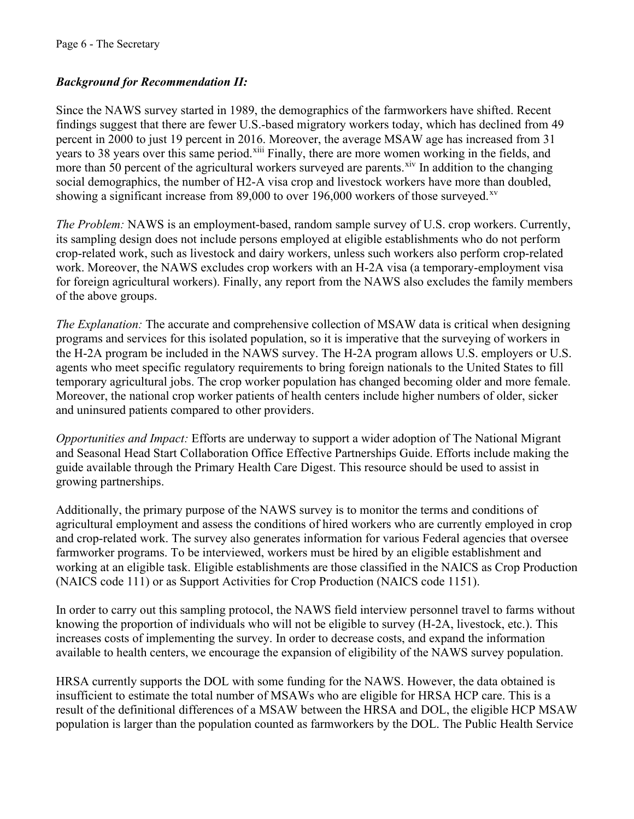### *Background for Recommendation II:*

Since the NAWS survey started in 1989, the demographics of the farmworkers have shifted. Recent findings suggest that there are fewer U.S.-based migratory workers today, which has declined from 49 percent in 2000 to just 19 percent in 2016. Moreover, the average MSAW age has increased from 31 years to 38 years over this same period.<sup>[xiii](#page-9-12)</sup> Finally, there are more women working in the fields, and more than 50 percent of the agricultural workers surveyed are parents.<sup>xiv</sup> In addition to the changing social demographics, the number of H2-A visa crop and livestock workers have more than doubled, showing a significant increase from 89,000 to over 196,000 workers of those surveyed.<sup>[xv](#page-9-14)</sup>

*The Problem:* NAWS is an employment-based, random sample survey of U.S. crop workers. Currently, its sampling design does not include persons employed at eligible establishments who do not perform crop-related work, such as livestock and dairy workers, unless such workers also perform crop-related work. Moreover, the NAWS excludes crop workers with an H-2A visa (a temporary-employment visa for foreign agricultural workers). Finally, any report from the NAWS also excludes the family members of the above groups.

*The Explanation:* The accurate and comprehensive collection of MSAW data is critical when designing programs and services for this isolated population, so it is imperative that the surveying of workers in the H-2A program be included in the NAWS survey. The H-2A program allows U.S. employers or U.S. agents who meet specific regulatory requirements to bring foreign nationals to the United States to fill temporary agricultural jobs. The crop worker population has changed becoming older and more female. Moreover, the national crop worker patients of health centers include higher numbers of older, sicker and uninsured patients compared to other providers.

*Opportunities and Impact:* Efforts are underway to support a wider adoption of The National Migrant and Seasonal Head Start Collaboration Office Effective Partnerships Guide. Efforts include making the guide available through the Primary Health Care Digest. This resource should be used to assist in growing partnerships.

Additionally, the primary purpose of the NAWS survey is to monitor the terms and conditions of agricultural employment and assess the conditions of hired workers who are currently employed in crop and crop-related work. The survey also generates information for various Federal agencies that oversee farmworker programs. To be interviewed, workers must be hired by an eligible establishment and working at an eligible task. Eligible establishments are those classified in the NAICS as Crop Production (NAICS code 111) or as Support Activities for Crop Production (NAICS code 1151).

In order to carry out this sampling protocol, the NAWS field interview personnel travel to farms without knowing the proportion of individuals who will not be eligible to survey (H-2A, livestock, etc.). This increases costs of implementing the survey. In order to decrease costs, and expand the information available to health centers, we encourage the expansion of eligibility of the NAWS survey population.

HRSA currently supports the DOL with some funding for the NAWS. However, the data obtained is insufficient to estimate the total number of MSAWs who are eligible for HRSA HCP care. This is a result of the definitional differences of a MSAW between the HRSA and DOL, the eligible HCP MSAW population is larger than the population counted as farmworkers by the DOL. The Public Health Service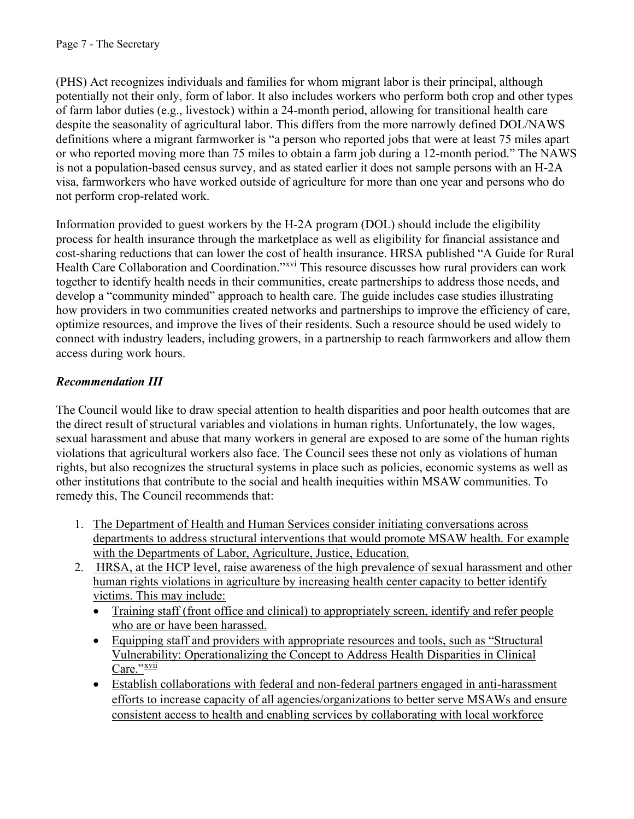(PHS) Act recognizes individuals and families for whom migrant labor is their principal, although potentially not their only, form of labor. It also includes workers who perform both crop and other types of farm labor duties (e.g., livestock) within a 24-month period, allowing for transitional health care despite the seasonality of agricultural labor. This differs from the more narrowly defined DOL/NAWS definitions where a migrant farmworker is "a person who reported jobs that were at least 75 miles apart or who reported moving more than 75 miles to obtain a farm job during a 12-month period." The NAWS is not a population-based census survey, and as stated earlier it does not sample persons with an H-2A visa, farmworkers who have worked outside of agriculture for more than one year and persons who do not perform crop-related work.

Information provided to guest workers by the H-2A program (DOL) should include the eligibility process for health insurance through the marketplace as well as eligibility for financial assistance and cost-sharing reductions that can lower the cost of health insurance. HRSA published "A Guide for Rural Health Care Collaboration and Coordination."<sup>xvi</sup> This resource discusses how rural providers can work together to identify health needs in their communities, create partnerships to address those needs, and develop a "community minded" approach to health care. The guide includes case studies illustrating how providers in two communities created networks and partnerships to improve the efficiency of care, optimize resources, and improve the lives of their residents. Such a resource should be used widely to connect with industry leaders, including growers, in a partnership to reach farmworkers and allow them access during work hours.

## *Recommendation III*

The Council would like to draw special attention to health disparities and poor health outcomes that are the direct result of structural variables and violations in human rights. Unfortunately, the low wages, sexual harassment and abuse that many workers in general are exposed to are some of the human rights violations that agricultural workers also face. The Council sees these not only as violations of human rights, but also recognizes the structural systems in place such as policies, economic systems as well as other institutions that contribute to the social and health inequities within MSAW communities. To remedy this, The Council recommends that:

- 1. The Department of Health and Human Services consider initiating conversations across departments to address structural interventions that would promote MSAW health. For example with the Departments of Labor, Agriculture, Justice, Education.
- 2. HRSA, at the HCP level, raise awareness of the high prevalence of sexual harassment and other human rights violations in agriculture by increasing health center capacity to better identify victims. This may include:
	- Training staff (front office and clinical) to appropriately screen, identify and refer people who are or have been harassed.
	- Equipping staff and providers with appropriate resources and tools, such as "Structural Vulnerability: Operationalizing the Concept to Address Health Disparities in Clinical Care."[xvii](#page-9-16)
	- Establish collaborations with federal and non-federal partners engaged in anti-harassment efforts to increase capacity of all agencies/organizations to better serve MSAWs and ensure consistent access to health and enabling services by collaborating with local workforce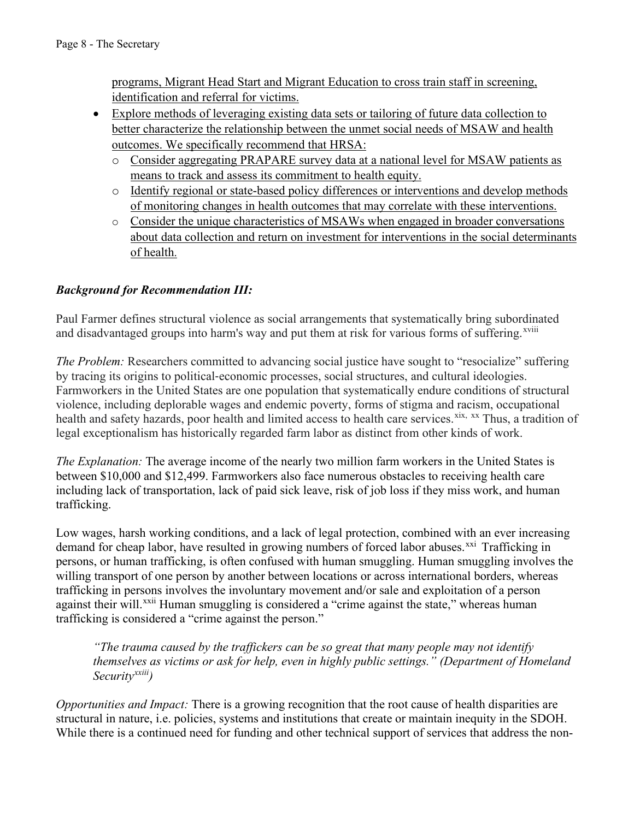programs, Migrant Head Start and Migrant Education to cross train staff in screening, identification and referral for victims.

- Explore methods of leveraging existing data sets or tailoring of future data collection to better characterize the relationship between the unmet social needs of MSAW and health outcomes. We specifically recommend that HRSA:
	- o Consider aggregating PRAPARE survey data at a national level for MSAW patients as means to track and assess its commitment to health equity.
	- o Identify regional or state-based policy differences or interventions and develop methods of monitoring changes in health outcomes that may correlate with these interventions.
	- o Consider the unique characteristics of MSAWs when engaged in broader conversations about data collection and return on investment for interventions in the social determinants of health.

## *Background for Recommendation III:*

Paul Farmer defines structural violence as social arrangements that systematically bring subordinated and disadvantaged groups into harm's way and put them at risk for various forms of suffering.<sup>[xviii](#page-9-17)</sup>

*The Problem:* Researchers committed to advancing social justice have sought to "resocialize" suffering by tracing its origins to political‐economic processes, social structures, and cultural ideologies. Farmworkers in the United States are one population that systematically endure conditions of structural violence, including deplorable wages and endemic poverty, forms of stigma and racism, occupational health and safety hazards, poor health and limited access to health care services.<sup>[xix,](#page-9-18) [xx](#page-9-19)</sup> Thus, a tradition of legal exceptionalism has historically regarded farm labor as distinct from other kinds of work.

*The Explanation:* The average income of the nearly two million farm workers in the United States is between \$10,000 and \$12,499. Farmworkers also face numerous obstacles to receiving health care including lack of transportation, lack of paid sick leave, risk of job loss if they miss work, and human trafficking.

Low wages, harsh working conditions, and a lack of legal protection, combined with an ever increasing demand for cheap labor, have resulted in growing numbers of forced labor abuses.<sup>[xxi](#page-9-20)</sup> Trafficking in persons, or human trafficking, is often confused with human smuggling. Human smuggling involves the willing transport of one person by another between locations or across international borders, whereas trafficking in persons involves the involuntary movement and/or sale and exploitation of a person against their will.<sup>xxii</sup> Human smuggling is considered a "crime against the state," whereas human trafficking is considered a "crime against the person."

*"The trauma caused by the traffickers can be so great that many people may not identify themselves as victims or ask for help, even in highly public settings." (Department of Homeland Security[xxiii\)](#page-9-22)*

*Opportunities and Impact:* There is a growing recognition that the root cause of health disparities are structural in nature, i.e. policies, systems and institutions that create or maintain inequity in the SDOH. While there is a continued need for funding and other technical support of services that address the non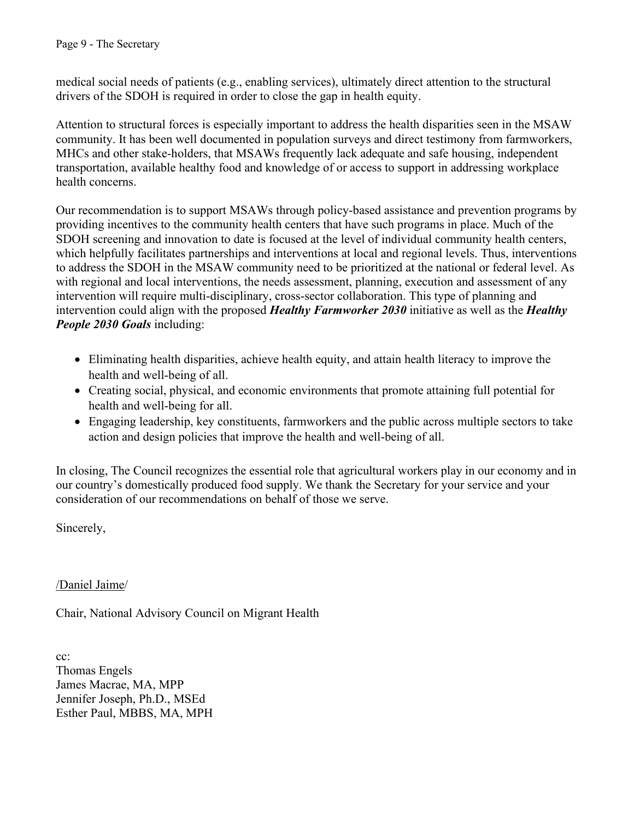medical social needs of patients (e.g., enabling services), ultimately direct attention to the structural drivers of the SDOH is required in order to close the gap in health equity.

Attention to structural forces is especially important to address the health disparities seen in the MSAW community. It has been well documented in population surveys and direct testimony from farmworkers, MHCs and other stake-holders, that MSAWs frequently lack adequate and safe housing, independent transportation, available healthy food and knowledge of or access to support in addressing workplace health concerns.

Our recommendation is to support MSAWs through policy-based assistance and prevention programs by providing incentives to the community health centers that have such programs in place. Much of the SDOH screening and innovation to date is focused at the level of individual community health centers, which helpfully facilitates partnerships and interventions at local and regional levels. Thus, interventions to address the SDOH in the MSAW community need to be prioritized at the national or federal level. As with regional and local interventions, the needs assessment, planning, execution and assessment of any intervention will require multi-disciplinary, cross-sector collaboration. This type of planning and intervention could align with the proposed *Healthy Farmworker 2030* initiative as well as the *Healthy People 2030 Goals* including:

- Eliminating health disparities, achieve health equity, and attain health literacy to improve the health and well-being of all.
- Creating social, physical, and economic environments that promote attaining full potential for health and well-being for all.
- Engaging leadership, key constituents, farmworkers and the public across multiple sectors to take action and design policies that improve the health and well-being of all.

In closing, The Council recognizes the essential role that agricultural workers play in our economy and in our country's domestically produced food supply. We thank the Secretary for your service and your consideration of our recommendations on behalf of those we serve.

Sincerely,

/Daniel Jaime/

Chair, National Advisory Council on Migrant Health

cc: Thomas Engels James Macrae, MA, MPP Jennifer Joseph, Ph.D., MSEd Esther Paul, MBBS, MA, MPH